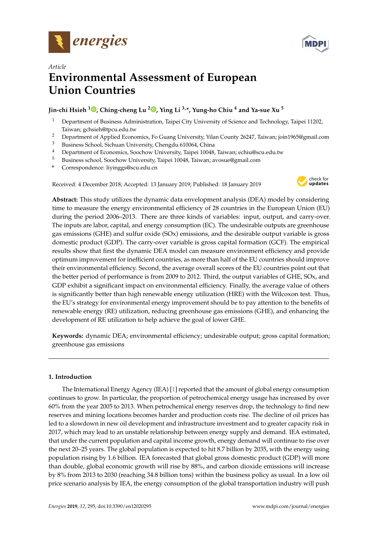



# *Article* **Environmental Assessment of European Union Countries**

## **Jin-chi Hsieh <sup>1</sup> [,](https://orcid.org/0000-0003-4540-9603) Ching-cheng Lu <sup>2</sup> [,](https://orcid.org/0000-0001-7605-0918) Ying Li 3,\*, Yung-ho Chiu <sup>4</sup> and Ya-sue Xu <sup>5</sup>**

- <sup>1</sup> Department of Business Administration, Taipei City University of Science and Technology, Taipei 11202, Taiwan; gchsieh@tpcu.edu.tw
- <sup>2</sup> Department of Applied Economics, Fo Guang University, Yilan County 26247, Taiwan; join1965@gmail.com<br><sup>3</sup> Business School Sichuan University, Chenedu 610064, China
- Business School, Sichuan University, Chengdu 610064, China
- <sup>4</sup> Department of Economics, Soochow University, Taipei 10048, Taiwan; echiu@scu.edu.tw
- <sup>5</sup> Business school, Soochow University, Taipei 10048, Taiwan; avosue@gmail.com
- **\*** Correspondence: liyinggs@scu.edu.cn

Received: 4 December 2018; Accepted: 13 January 2019; Published: 18 January 2019



**Abstract:** This study utilizes the dynamic data envelopment analysis (DEA) model by considering time to measure the energy environmental efficiency of 28 countries in the European Union (EU) during the period 2006–2013. There are three kinds of variables: input, output, and carry-over. The inputs are labor, capital, and energy consumption (EC). The undesirable outputs are greenhouse gas emissions (GHE) and sulfur oxide (SOx) emissions, and the desirable output variable is gross domestic product (GDP). The carry-over variable is gross capital formation (GCF). The empirical results show that first the dynamic DEA model can measure environment efficiency and provide optimum improvement for inefficient countries, as more than half of the EU countries should improve their environmental efficiency. Second, the average overall scores of the EU countries point out that the better period of performance is from 2009 to 2012. Third, the output variables of GHE, SOx, and GDP exhibit a significant impact on environmental efficiency. Finally, the average value of others is significantly better than high renewable energy utilization (HRE) with the Wilcoxon test. Thus, the EU's strategy for environmental energy improvement should be to pay attention to the benefits of renewable energy (RE) utilization, reducing greenhouse gas emissions (GHE), and enhancing the development of RE utilization to help achieve the goal of lower GHE.

**Keywords:** dynamic DEA; environmental efficiency; undesirable output; gross capital formation; greenhouse gas emissions

### **1. Introduction**

The International Energy Agency (IEA) [\[1\]](#page-15-0) reported that the amount of global energy consumption continues to grow. In particular, the proportion of petrochemical energy usage has increased by over 60% from the year 2005 to 2013. When petrochemical energy reserves drop, the technology to find new reserves and mining locations becomes harder and production costs rise. The decline of oil prices has led to a slowdown in new oil development and infrastructure investment and to greater capacity risk in 2017, which may lead to an unstable relationship between energy supply and demand. IEA estimated, that under the current population and capital income growth, energy demand will continue to rise over the next 20–25 years. The global population is expected to hit 8.7 billion by 2035, with the energy using population rising by 1.6 billion. IEA forecasted that global gross domestic product (GDP) will more than double, global economic growth will rise by 88%, and carbon dioxide emissions will increase by 8% from 2013 to 2030 (reaching 34.8 billion tons) within the business policy as usual. In a low oil price scenario analysis by IEA, the energy consumption of the global transportation industry will push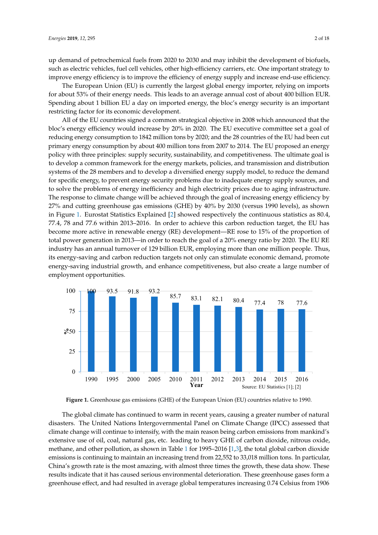up demand of petrochemical fuels from 2020 to 2030 and may inhibit the development of biofuels, such as electric vehicles, fuel cell vehicles, other high-efficiency carriers, etc. One important strategy to improve energy efficiency is to improve the efficiency of energy supply and increase end-use efficiency.

The European Union (EU) is currently the largest global energy importer, relying on imports for about 53% of their energy needs. This leads to an average annual cost of about 400 billion EUR. Spending about 1 billion EU a day on imported energy, the bloc's energy security is an important restricting factor for its economic development.

All of the EU countries signed a common strategical objective in 2008 which announced that the bloc's energy efficiency would increase by 20% in 2020. The EU executive committee set a goal of reducing energy consumption to 1842 million tons by 2020; and the 28 countries of the EU had been cut primary energy consumption by about 400 million tons from 2007 to 2014. The EU proposed an energy policy with three principles: supply security, sustainability, and competitiveness. The ultimate goal is to develop a common framework for the energy markets, policies, and transmission and distribution systems of the 28 members and to develop a diversified energy supply model, to reduce the demand for specific energy, to prevent energy security problems due to inadequate energy supply sources, and to solve the problems of energy inefficiency and high electricity prices due to aging infrastructure. The response to climate change will be achieved through the goal of increasing energy efficiency by 27% and cutting greenhouse gas emissions (GHE) by 40% by 2030 (versus 1990 levels), as shown in Figure 1. Eurostat Statistics Explained [2] showed respectively the continuous statistics as 80.4, 77.4, 78 and 77.6 within 2013-2016. In order to achieve this carbon reduction target, the EU has become more active in renewable energy (RE) development—RE rose to 15% of the proportion of total power generation in 2013—in order to reach the goal of a 20% energy ratio by 2020. The EU RE industry has an annual turnover of 129 billion EUR, employing more than one million people. Thus, its energy-saving and carbon reduction targets not only can stimulate economic demand, promote energy-saving industrial growth, and enhance competitiveness, but also create a large number of employment opportunities.

<span id="page-1-0"></span>

**Figure 1.** Greenhouse gas emissions (GHE) of the European Union (EU) countries relative to 1990.

The global climate has continued to warm in recent years, causing a greater number of natural disasters. The United Nations Intergovernmental Panel on Climate Change (IPCC) assessed that climate change will continue to intensify, with the main reason being carbon emissions from mankind's extensive use of oil, coal, natural gas, etc. leading to heavy GHE of carbon dioxide, nitrous oxide, methane, and other pollution, as shown in Table [1](#page-2-0) for 1995–2016 [\[1](#page-15-0)[,3\]](#page-15-2), the total global carbon dioxide emissions is continuing to maintain an increasing trend from 22,552 to 33,018 million tons. In particular, China's growth rate is the most amazing, with almost three times the growth, these data show. These results indicate that it has caused serious environmental deterioration. These greenhouse gases form a greenhouse effect, and had resulted in average global temperatures increasing 0.74 Celsius from 1906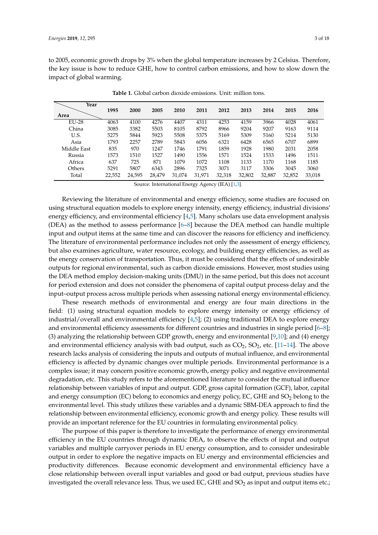to 2005, economic growth drops by 3% when the global temperature increases by 2 Celsius. Therefore, the key issue is how to reduce GHE, how to control carbon emissions, and how to slow down the impact of global warming.

<span id="page-2-0"></span>

| Year        |        |        |        |        |        |        |        |        |        |        |
|-------------|--------|--------|--------|--------|--------|--------|--------|--------|--------|--------|
| Area        | 1995   | 2000   | 2005   | 2010   | 2011   | 2012   | 2013   | 2014   | 2015   | 2016   |
| $EU-28$     | 4063   | 4100   | 4276   | 4407   | 4311   | 4253   | 4159   | 3966   | 4028   | 4061   |
| China       | 3085   | 3382   | 5503   | 8105   | 8792   | 8966   | 9204   | 9207   | 9163   | 9114   |
| U.S.        | 5275   | 5844   | 5923   | 5508   | 5375   | 5169   | 5309   | 5160   | 5214   | 5130   |
| Asia        | 1793   | 2257   | 2789   | 5843   | 6056   | 6321   | 6428   | 6565   | 6707   | 6899   |
| Middle East | 835    | 970    | 1247   | 1746   | 1791   | 1859   | 1928   | 1980   | 2031   | 2058   |
| Russia      | 1573   | 1510   | 1527   | 1490   | 1556   | 1571   | 1524   | 1533   | 1496   | 1511   |
| Africa      | 637    | 725    | 871    | 1079   | 1072   | 1108   | 1133   | 1170   | 1168   | 1185   |
| Others      | 5291   | 5807   | 6343   | 2896   | 7325   | 3071   | 3117   | 3306   | 3045   | 3060   |
| Total       | 22,552 | 24,595 | 28,479 | 31,074 | 31,971 | 32,318 | 32,802 | 32,887 | 32,852 | 33,018 |
|             |        |        |        |        |        |        |        |        |        |        |

**Table 1.** Global carbon dioxide emissions. Unit: million tons.

Source: International Energy Agency (IEA) [\[1,](#page-15-0)[3\]](#page-15-2).

Reviewing the literature of environmental and energy efficiency, some studies are focused on using structural equation models to explore energy intensity, energy efficiency, industrial divisions' energy efficiency, and environmental efficiency [\[4,](#page-15-3)[5\]](#page-16-0). Many scholars use data envelopment analysis (DEA) as the method to assess performance [\[6–](#page-16-1)[8\]](#page-16-2) because the DEA method can handle multiple input and output items at the same time and can discover the reasons for efficiency and inefficiency. The literature of environmental performance includes not only the assessment of energy efficiency, but also examines agriculture, water resource, ecology, and building energy efficiencies, as well as the energy conservation of transportation. Thus, it must be considered that the effects of undesirable outputs for regional environmental, such as carbon dioxide emissions. However, most studies using the DEA method employ decision-making units (DMU) in the same period, but this does not account for period extension and does not consider the phenomena of capital output process delay and the input–output process across multiple periods when assessing national energy environmental efficiency.

These research methods of environmental and energy are four main directions in the field: (1) using structural equation models to explore energy intensity or energy efficiency of industrial/overall and environmental efficiency [\[4](#page-15-3)[,5\]](#page-16-0); (2) using traditional DEA to explore energy and environmental efficiency assessments for different countries and industries in single period [\[6](#page-16-1)[–8\]](#page-16-2); (3) analyzing the relationship between GDP growth, energy and environmental [\[9](#page-16-3)[,10\]](#page-16-4); and (4) energy and environmental efficiency analysis with bad output, such as  $CO<sub>2</sub>$ ,  $SO<sub>2</sub>$ , etc. [\[11](#page-16-5)[–14\]](#page-16-6). The above research lacks analysis of considering the inputs and outputs of mutual influence, and environmental efficiency is affected by dynamic changes over multiple periods. Environmental performance is a complex issue; it may concern positive economic growth, energy policy and negative environmental degradation, etc. This study refers to the aforementioned literature to consider the mutual influence relationship between variables of input and output. GDP, gross capital formation (GCF), labor, capital and energy consumption (EC) belong to economics and energy policy, EC, GHE and SO<sub>2</sub> belong to the environmental level. This study utilizes these variables and a dynamic SBM-DEA approach to find the relationship between environmental efficiency, economic growth and energy policy. These results will provide an important reference for the EU countries in formulating environmental policy.

The purpose of this paper is therefore to investigate the performance of energy environmental efficiency in the EU countries through dynamic DEA, to observe the effects of input and output variables and multiple carryover periods in EU energy consumption, and to consider undesirable output in order to explore the negative impacts on EU energy and environmental efficiencies and productivity differences. Because economic development and environmental efficiency have a close relationship between overall input variables and good or bad output, previous studies have investigated the overall relevance less. Thus, we used EC, GHE and  $SO<sub>2</sub>$  as input and output items etc.;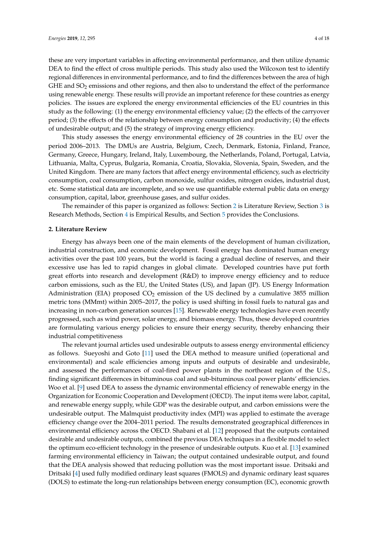these are very important variables in affecting environmental performance, and then utilize dynamic DEA to find the effect of cross multiple periods. This study also used the Wilcoxon test to identify regional differences in environmental performance, and to find the differences between the area of high GHE and  $SO<sub>2</sub>$  emissions and other regions, and then also to understand the effect of the performance using renewable energy. These results will provide an important reference for these countries as energy policies. The issues are explored the energy environmental efficiencies of the EU countries in this study as the following: (1) the energy environmental efficiency value; (2) the effects of the carryover period; (3) the effects of the relationship between energy consumption and productivity; (4) the effects of undesirable output; and (5) the strategy of improving energy efficiency.

This study assesses the energy environmental efficiency of 28 countries in the EU over the period 2006–2013. The DMUs are Austria, Belgium, Czech, Denmark, Estonia, Finland, France, Germany, Greece, Hungary, Ireland, Italy, Luxembourg, the Netherlands, Poland, Portugal, Latvia, Lithuania, Malta, Cyprus, Bulgaria, Romania, Croatia, Slovakia, Slovenia, Spain, Sweden, and the United Kingdom. There are many factors that affect energy environmental efficiency, such as electricity consumption, coal consumption, carbon monoxide, sulfur oxides, nitrogen oxides, industrial dust, etc. Some statistical data are incomplete, and so we use quantifiable external public data on energy consumption, capital, labor, greenhouse gases, and sulfur oxides.

The remainder of this paper is organized as follows: Section [2](#page-3-0) is Literature Review, Section [3](#page-6-0) is Research Methods, Section [4](#page-7-0) is Empirical Results, and Section [5](#page-14-0) provides the Conclusions.

#### <span id="page-3-0"></span>**2. Literature Review**

Energy has always been one of the main elements of the development of human civilization, industrial construction, and economic development. Fossil energy has dominated human energy activities over the past 100 years, but the world is facing a gradual decline of reserves, and their excessive use has led to rapid changes in global climate. Developed countries have put forth great efforts into research and development (R&D) to improve energy efficiency and to reduce carbon emissions, such as the EU, the United States (US), and Japan (JP). US Energy Information Administration (EIA) proposed  $CO<sub>2</sub>$  emission of the US declined by a cumulative 3855 million metric tons (MMmt) within 2005–2017, the policy is used shifting in fossil fuels to natural gas and increasing in non-carbon generation sources [\[15\]](#page-16-7). Renewable energy technologies have even recently progressed, such as wind power, solar energy, and biomass energy. Thus, these developed countries are formulating various energy policies to ensure their energy security, thereby enhancing their industrial competitiveness

The relevant journal articles used undesirable outputs to assess energy environmental efficiency as follows. Sueyoshi and Goto [\[11\]](#page-16-5) used the DEA method to measure unified (operational and environmental) and scale efficiencies among inputs and outputs of desirable and undesirable, and assessed the performances of coal-fired power plants in the northeast region of the U.S., finding significant differences in bituminous coal and sub-bituminous coal power plants' efficiencies. Woo et al. [\[9\]](#page-16-3) used DEA to assess the dynamic environmental efficiency of renewable energy in the Organization for Economic Cooperation and Development (OECD). The input items were labor, capital, and renewable energy supply, while GDP was the desirable output, and carbon emissions were the undesirable output. The Malmquist productivity index (MPI) was applied to estimate the average efficiency change over the 2004–2011 period. The results demonstrated geographical differences in environmental efficiency across the OECD. Shabani et al. [\[12\]](#page-16-8) proposed that the outputs contained desirable and undesirable outputs, combined the previous DEA techniques in a flexible model to select the optimum eco-efficient technology in the presence of undesirable outputs. Kuo et al. [\[13\]](#page-16-9) examined farming environmental efficiency in Taiwan; the output contained undesirable output, and found that the DEA analysis showed that reducing pollution was the most important issue. Dritsaki and Dritsaki [\[4\]](#page-15-3) used fully modified ordinary least squares (FMOLS) and dynamic ordinary least squares (DOLS) to estimate the long-run relationships between energy consumption (EC), economic growth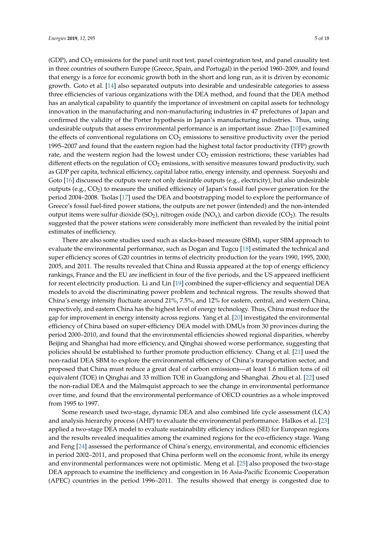(GDP), and  $CO<sub>2</sub>$  emissions for the panel unit root test, panel cointegration test, and panel causality test in three countries of southern Europe (Greece, Spain, and Portugal) in the period 1960–2009, and found that energy is a force for economic growth both in the short and long run, as it is driven by economic growth. Goto et al. [\[14\]](#page-16-6) also separated outputs into desirable and undesirable categories to assess three efficiencies of various organizations with the DEA method, and found that the DEA method has an analytical capability to quantify the importance of investment on capital assets for technology innovation in the manufacturing and non-manufacturing industries in 47 prefectures of Japan and confirmed the validity of the Porter hypothesis in Japan's manufacturing industries. Thus, using undesirable outputs that assess environmental performance is an important issue. Zhao [\[10\]](#page-16-4) examined the effects of conventional regulations on  $CO<sub>2</sub>$  emissions to sensitive productivity over the period 1995–2007 and found that the eastern region had the highest total factor productivity (TFP) growth rate, and the western region had the lowest under  $CO<sub>2</sub>$  emission restrictions; these variables had different effects on the regulation of  $CO<sub>2</sub>$  emissions, with sensitive measures toward productivity, such as GDP per capita, technical efficiency, capital labor ratio, energy intensity, and openness. Sueyoshi and Goto [\[16\]](#page-16-10) discussed the outputs were not only desirable outputs (e.g., electricity), but also undesirable outputs (e.g.,  $CO<sub>2</sub>$ ) to measure the unified efficiency of Japan's fossil fuel power generation for the period 2004–2008. Tsolas [\[17\]](#page-16-11) used the DEA and bootstrapping model to explore the performance of Greece's fossil fuel-fired power stations, the outputs are net power (intended) and the non-intended output items were sulfur dioxide  $(SO_2)$ , nitrogen oxide  $(NO_x)$ , and carbon dioxide  $(CO_2)$ . The results suggested that the power stations were considerably more inefficient than revealed by the initial point estimates of inefficiency.

There are also some studies used such as slacks-based measure (SBM), super SBM approach to evaluate the environmental performance, such as Dogan and Tugcu [\[18\]](#page-16-12) estimated the technical and super efficiency scores of G20 countries in terms of electricity production for the years 1990, 1995, 2000, 2005, and 2011. The results revealed that China and Russia appeared at the top of energy efficiency rankings, France and the EU are inefficient in four of the five periods, and the US appeared inefficient for recent electricity production. Li and Lin [\[19\]](#page-16-13) combined the super-efficiency and sequential DEA models to avoid the discriminating power problem and technical regress. The results showed that China's energy intensity fluctuate around 21%, 7.5%, and 12% for eastern, central, and western China, respectively, and eastern China has the highest level of energy technology. Thus, China must reduce the gap for improvement in energy intensity across regions. Yang et al. [\[20\]](#page-16-14) investigated the environmental efficiency of China based on super-efficiency DEA model with DMUs from 30 provinces during the period 2000–2010, and found that the environmental efficiencies showed regional disparities, whereby Beijing and Shanghai had more efficiency, and Qinghai showed worse performance, suggesting that policies should be established to further promote production efficiency. Chang et al. [\[21\]](#page-16-15) used the non-radial DEA SBM to explore the environmental efficiency of China's transportation sector, and proposed that China must reduce a great deal of carbon emissions—at least 1.6 million tons of oil equivalent (TOE) in Qinghai and 33 million TOE in Guangdong and Shanghai. Zhou et al. [\[22\]](#page-16-16) used the non-radial DEA and the Malmquist approach to see the change in environmental performance over time, and found that the environmental performance of OECD countries as a whole improved from 1995 to 1997.

Some research used two-stage, dynamic DEA and also combined life cycle assessment (LCA) and analysis hierarchy process (AHP) to evaluate the environmental performance. Halkos et al. [\[23\]](#page-16-17) applied a two-stage DEA model to evaluate sustainability efficiency indices (SEI) for European regions and the results revealed inequalities among the examined regions for the eco-efficiency stage. Wang and Feng [\[24\]](#page-16-18) assessed the performance of China's energy, environmental, and economic efficiencies in period 2002–2011, and proposed that China perform well on the economic front, while its energy and environmental performances were not optimistic. Meng et al. [\[25\]](#page-16-19) also proposed the two-stage DEA approach to examine the inefficiency and congestion in 16 Asia-Pacific Economic Cooperation (APEC) countries in the period 1996–2011. The results showed that energy is congested due to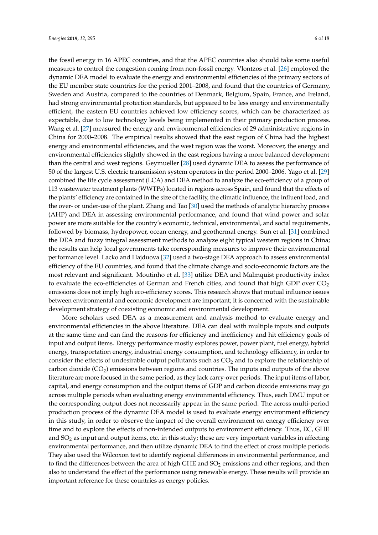the fossil energy in 16 APEC countries, and that the APEC countries also should take some useful measures to control the congestion coming from non-fossil energy. Vlontzos et al. [\[26\]](#page-16-20) employed the dynamic DEA model to evaluate the energy and environmental efficiencies of the primary sectors of the EU member state countries for the period 2001–2008, and found that the countries of Germany, Sweden and Austria, compared to the countries of Denmark, Belgium, Spain, France, and Ireland, had strong environmental protection standards, but appeared to be less energy and environmentally efficient, the eastern EU countries achieved low efficiency scores, which can be characterized as expectable, due to low technology levels being implemented in their primary production process. Wang et al. [\[27\]](#page-16-21) measured the energy and environmental efficiencies of 29 administrative regions in China for 2000–2008. The empirical results showed that the east region of China had the highest energy and environmental efficiencies, and the west region was the worst. Moreover, the energy and environmental efficiencies slightly showed in the east regions having a more balanced development than the central and west regions. Geymueller [\[28\]](#page-16-22) used dynamic DEA to assess the performance of 50 of the largest U.S. electric transmission system operators in the period 2000–2006. Yago et al. [\[29\]](#page-17-0) combined the life cycle assessment (LCA) and DEA method to analyze the eco-efficiency of a group of 113 wastewater treatment plants (WWTPs) located in regions across Spain, and found that the effects of the plants' efficiency are contained in the size of the facility, the climatic influence, the influent load, and the over- or under-use of the plant. Zhang and Tao [\[30\]](#page-17-1) used the methods of analytic hierarchy process (AHP) and DEA in assessing environmental performance, and found that wind power and solar power are more suitable for the country's economic, technical, environmental, and social requirements, followed by biomass, hydropower, ocean energy, and geothermal energy. Sun et al. [\[31\]](#page-17-2) combined the DEA and fuzzy integral assessment methods to analyze eight typical western regions in China; the results can help local governments take corresponding measures to improve their environmental performance level. Lacko and Hajduova [\[32\]](#page-17-3) used a two-stage DEA approach to assess environmental efficiency of the EU countries, and found that the climate change and socio-economic factors are the most relevant and significant. Moutinho et al. [\[33\]](#page-17-4) utilize DEA and Malmquist productivity index to evaluate the eco-efficiencies of German and French cities, and found that high GDP over  $CO<sub>2</sub>$ emissions does not imply high eco-efficiency scores. This research shows that mutual influence issues between environmental and economic development are important; it is concerned with the sustainable development strategy of coexisting economic and environmental development.

More scholars used DEA as a measurement and analysis method to evaluate energy and environmental efficiencies in the above literature. DEA can deal with multiple inputs and outputs at the same time and can find the reasons for efficiency and inefficiency and hit efficiency goals of input and output items. Energy performance mostly explores power, power plant, fuel energy, hybrid energy, transportation energy, industrial energy consumption, and technology efficiency, in order to consider the effects of undesirable output pollutants such as  $CO<sub>2</sub>$  and to explore the relationship of carbon dioxide  $(CO<sub>2</sub>)$  emissions between regions and countries. The inputs and outputs of the above literature are more focused in the same period, as they lack carry-over periods. The input items of labor, capital, and energy consumption and the output items of GDP and carbon dioxide emissions may go across multiple periods when evaluating energy environmental efficiency. Thus, each DMU input or the corresponding output does not necessarily appear in the same period. The across multi-period production process of the dynamic DEA model is used to evaluate energy environment efficiency in this study, in order to observe the impact of the overall environment on energy efficiency over time and to explore the effects of non-intended outputs to environment efficiency. Thus, EC, GHE and  $SO<sub>2</sub>$  as input and output items, etc. in this study; these are very important variables in affecting environmental performance, and then utilize dynamic DEA to find the effect of cross multiple periods. They also used the Wilcoxon test to identify regional differences in environmental performance, and to find the differences between the area of high GHE and  $SO<sub>2</sub>$  emissions and other regions, and then also to understand the effect of the performance using renewable energy. These results will provide an important reference for these countries as energy policies.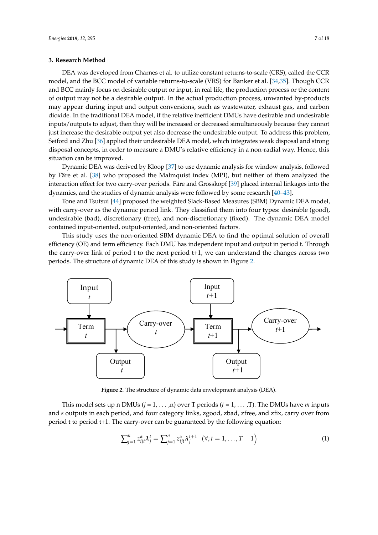#### <span id="page-6-0"></span>**3. Research Method** 273 **3. Research Method**

DEA was developed from Charnes et al. to utilize constant returns-to-scale (CRS), called the CCR model, and the BCC model of variable returns-to-scale (VRS) for Banker et al. [\[34,](#page-17-5)[35\]](#page-17-6). Though CCR and BCC mainly focus on desirable output or input, in real life, the production process or the content of output may not be a desirable output. In the actual production process, unwanted by-products may appear during input and output conversions, such as wastewater, exhaust gas, and carbon may appear during input and output conversions, such as wastewater, exhaust gas, and carbon nay uppear during mp at undestap at conversions, such as wastewater, exhaust gas, and careers dioxide. In the traditional DEA model, if the relative inefficient DMUs have desirable and undesirable inputs/outputs to adjust, then they will be increased or decreased simultaneously because they cannot inputs/outputs to adjust, then they will be increased or decreased simultaneously because they cannot mpais, outputs to adjust, then they will be increased or decreased simulative day, because they cannot just increase the desirable output yet also decrease the undesirable output. To address this problem, Seiford and Zhu [\[36\]](#page-17-7) applied their undesirable DEA model, which integrates weak disposal and strong disposal concepts, in order to measure a DMU's relative efficiency in a non-radial way. Hence, this disposal concepts, in order to measure a DMU's relative efficiency in a non-radial way. Hence, this situation can be improved. 283 website concepts, in order to measure a DMU's relative efficiency in a non-radial way. Fience, in

Bruation can be improved.<br>Dynamic DEA was derived by Kloop [\[37\]](#page-17-8) to use dynamic analysis for window analysis, followed by Färe et al. [\[38\]](#page-17-9) who proposed the Malmquist index (MPI), but neither of them analyzed the<br>286 by Färe et al. [38] who proposed the Malmquist index (MPI), but neither of them analyzed the interaction effect for two carry-over periods. Färe and Grosskopf [\[39\]](#page-17-10) placed internal linkages into the dynamics, and the studies of dynamic analysis were followed by some research [\[40](#page-17-11)[–43\]](#page-17-12). 285 Dynamic DEA was derived by Kloop [37] to use dynamic analysis for window analysis, followed

Tone and Tsutsui [\[44\]](#page-17-13) proposed the weighted Slack-Based Measures (SBM) Dynamic DEA model,<br>29 Tone and Tsutsui [44] proposed the weighted Slack-Based Measures (SBM) Dynamic DEA model, with carry-over as the dynamic period link. They classified them into four types: desirable (good),<br>
200 model, with carry-over as the dynamic period link. They classified them into four types: desirable (good), undesirable (bad), discretionary (free), and non-discretionary (fixed). The dynamic DEA model contained input-oriented, output-oriented, and non-oriented factors.<br>
2924 model contained input-oriented, and non-oriented factors.

This study uses the non-oriented SBM dynamic DEA to find the optimal solution of overall efficiency (OE) and term efficiency. Each DMU has independent input and output in period t. Through the carry-over link of period t to the next period  $t+1$ , we can understand the changes across two periods. The structure of dynamic DEA of this study is shown in Figure [2.](#page-6-1)

<span id="page-6-1"></span>

298 **Figure 2.** The structure of dynamic data envelopment analysis (DEA). **Figure 2.** The structure of dynamic data envelopment analysis (DEA).

This model sets up n DMUs  $(j = 1, \ldots, n)$  over T periods  $(t = 1, \ldots, T)$ . The DMUs have *m* inputs and *s* outputs in each period, and four category links, zgood, zbad, zfree, and zfix, carry over from period t to period t+1. The carry-over can be guaranteed by the following equation:

$$
\sum_{j=1}^{n} z_{ijt}^{\alpha} \lambda_j^t = \sum_{j=1}^{n} z_{ijt}^{\alpha} \lambda_j^{t+1} \quad (\forall j \in \{1, \dots, T-1\})
$$
 (1)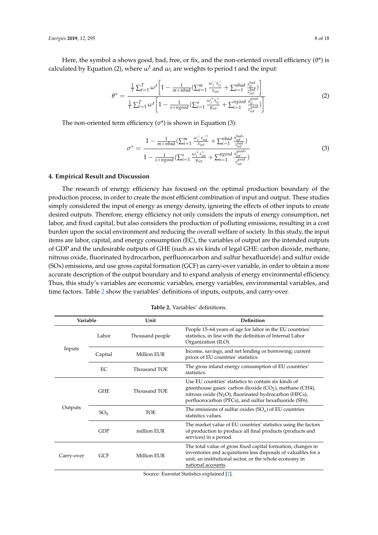Here, the symbol  $\alpha$  shows good, bad, free, or fix, and the non-oriented overall efficiency ( $\theta^*$ ) is calculated by Equation (2), where  $\omega^t$  and  $\omega_i$  are weights to period t and the input:

$$
\theta^* = \frac{\frac{1}{T} \sum_{t=1}^T \omega^t \left[ 1 - \frac{1}{m + n \text{bad}} \left( \sum_{i=1}^m \frac{\omega_i^{-s} \bar{i}}{x_{iot}} + \sum_{i=1}^{\text{nbad}} \frac{s_{it}^{\text{bad}}}{z_{iot}^{\text{bad}}} \right) \right]}{\frac{1}{T} \sum_{t=1}^T \omega^t \left[ 1 - \frac{1}{s + n \text{good}} \left( \sum_{i=1}^s \frac{\omega_i^{+s} \bar{i}}{y_{iot}} + \sum_{i=1}^{\text{ngood}} \frac{s_{it}^{\text{good}}}{z_{iot}^{\text{good}}} \right) \right]}
$$
(2)

The non-oriented term efficiency  $(\sigma^*)$  is shown in Equation (3):

$$
\sigma^* = \frac{1 - \frac{1}{m + nbad} \left( \sum_{i=1}^m \frac{\omega_i^- s_{iot}^{-*}}{x_{iot}} + \sum_{i=1}^n \frac{s_{tot}^{bad}}{z_{tot}^{bad}} \right)}{1 - \frac{1}{s + ngood} \left( \sum_{i=1}^s \frac{\omega_i^+ s_{tot}^+}{y_{iot}^{tot}} + \sum_{i=1}^n \frac{s_{tot}^{good}}{z_{tot}^{good}} \right)}
$$
(3)

#### <span id="page-7-0"></span>**4. Empirical Result and Discussion**

The research of energy efficiency has focused on the optimal production boundary of the production process, in order to create the most efficient combination of input and output. These studies simply considered the input of energy as energy density, ignoring the effects of other inputs to create desired outputs. Therefore, energy efficiency not only considers the inputs of energy consumption, net labor, and fixed capital, but also considers the production of polluting emissions, resulting in a cost burden upon the social environment and reducing the overall welfare of society. In this study, the input items are labor, capital, and energy consumption (EC), the variables of output are the intended outputs of GDP and the undesirable outputs of GHE (such as six kinds of legal GHE: carbon dioxide, methane, nitrous oxide, fluorinated hydrocarbon, perfluorocarbon and sulfur hexafluoride) and sulfur oxide (SOx) emissions, and use gross capital formation (GCF) as carry-over variable, in order to obtain a more accurate description of the output boundary and to expand analysis of energy environmental efficiency. Thus, this study's variables are economic variables, energy variables, environmental variables, and time factors. Table [2](#page-7-1) show the variables' definitions of inputs, outputs, and carry-over.

<span id="page-7-1"></span>

| Variable   |                 | Unit               | Definition                                                                                                                                                                                                                                 |  |  |  |
|------------|-----------------|--------------------|--------------------------------------------------------------------------------------------------------------------------------------------------------------------------------------------------------------------------------------------|--|--|--|
|            | Labor           | Thousand people    | People 15–64 years of age for labor in the EU countries'<br>statistics, in line with the definition of Internal Labor<br>Organization (ILO).                                                                                               |  |  |  |
| Inputs     | Capital         | Million EUR        | Income, savings, and net lending or borrowing; current<br>prices of EU countries' statistics.                                                                                                                                              |  |  |  |
|            | EC              | Thousand TOE       | The gross inland energy consumption of EU countries'<br>statistics.                                                                                                                                                                        |  |  |  |
|            | <b>GHE</b>      | Thousand TOE       | Use EU countries' statistics to contain six kinds of<br>greenhouse gases: carbon dioxide $(CO2)$ , methane $(CH4)$ ,<br>nitrous oxide $(N_2O)$ , fluorinated hydrocarbon (HFCs),<br>perfluorocarbon (PFCs), and sulfur hexafluoride (SF6). |  |  |  |
| Outputs    | SO <sub>X</sub> | TOE                | The emissions of sulfur oxides $(SOx)$ of EU countries<br>statistics values.                                                                                                                                                               |  |  |  |
|            | <b>GDP</b>      | million EUR        | The market value of EU countries' statistics using the factors<br>of production to produce all final products (products and<br>services) in a period.                                                                                      |  |  |  |
| Carry-over | <b>GCF</b>      | <b>Million EUR</b> | The total value of gross fixed capital formation, changes in<br>inventories and acquisitions less disposals of valuables for a<br>unit, an institutional sector, or the whole economy in<br>national accounts.                             |  |  |  |
|            |                 |                    | Source: Eurostat Statistics explained [2].                                                                                                                                                                                                 |  |  |  |

**Table 2.** Variables' definitions.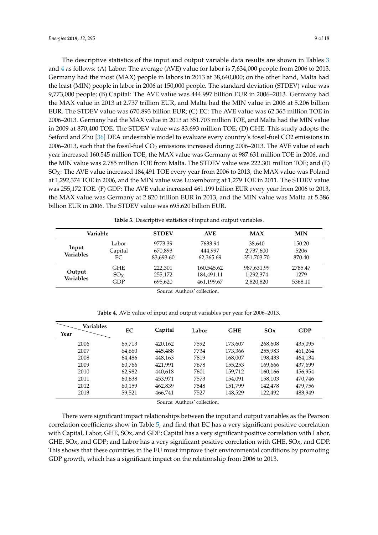The descriptive statistics of the input and output variable data results are shown in Tables [3](#page-8-0) and [4](#page-8-1) as follows: (A) Labor: The average (AVE) value for labor is 7,634,000 people from 2006 to 2013. Germany had the most (MAX) people in labors in 2013 at 38,640,000; on the other hand, Malta had the least (MIN) people in labor in 2006 at 150,000 people. The standard deviation (STDEV) value was 9,773,000 people; (B) Capital: The AVE value was 444.997 billion EUR in 2006–2013. Germany had the MAX value in 2013 at 2.737 trillion EUR, and Malta had the MIN value in 2006 at 5.206 billion EUR. The STDEV value was 670.893 billion EUR; (C) EC: The AVE value was 62.365 million TOE in 2006–2013. Germany had the MAX value in 2013 at 351.703 million TOE, and Malta had the MIN value in 2009 at 870,400 TOE. The STDEV value was 83.693 million TOE; (D) GHE: This study adopts the Seiford and Zhu [\[36\]](#page-17-7) DEA undesirable model to evaluate every country's fossil-fuel CO2 emissions in 2006–2013, such that the fossil-fuel  $CO<sub>2</sub>$  emissions increased during 2006–2013. The AVE value of each year increased 160.545 million TOE, the MAX value was Germany at 987.631 million TOE in 2006, and the MIN value was 2.785 million TOE from Malta. The STDEV value was 222.301 million TOE; and (E) SO<sub>X</sub>: The AVE value increased 184,491 TOE every year from 2006 to 2013, the MAX value was Poland at 1,292,374 TOE in 2006, and the MIN value was Luxembourg at 1,279 TOE in 2011. The STDEV value was 255,172 TOE. (F) GDP: The AVE value increased 461.199 billion EUR every year from 2006 to 2013, the MAX value was Germany at 2.820 trillion EUR in 2013, and the MIN value was Malta at 5.386 billion EUR in 2006. The STDEV value was 695.620 billion EUR.

<span id="page-8-0"></span>

| Variable                   |                               | <b>STDEV</b>                    | <b>AVE</b>                             | <b>MAX</b>                           | <b>MIN</b>                 |
|----------------------------|-------------------------------|---------------------------------|----------------------------------------|--------------------------------------|----------------------------|
| Input<br>Variables         | Labor<br>Capital<br>ЕC        | 9773.39<br>670,893<br>83,693.60 | 7633.94<br>444.997<br>62.365.69        | 38,640<br>2,737,600<br>351.703.70    | 150.20<br>5206<br>870.40   |
| Output<br><b>Variables</b> | <b>GHE</b><br>$SO_{X}$<br>GDP | 222.301<br>255,172<br>695,620   | 160,545.62<br>184,491.11<br>461,199.67 | 987.631.99<br>1,292,374<br>2,820,820 | 2785.47<br>1279<br>5368.10 |

**Table 3.** Descriptive statistics of input and output variables.

Source: Authors' collection.

<span id="page-8-1"></span>

| Variables<br>Year | EС     | Capital | Labor | GHE     | SQX     | GDP     |
|-------------------|--------|---------|-------|---------|---------|---------|
| 2006              | 65,713 | 420,162 | 7592  | 173,607 | 268,608 | 435,095 |
| 2007              | 64,660 | 445,488 | 7734  | 173,366 | 255,983 | 461,264 |
| 2008              | 64,486 | 448,163 | 7819  | 168,007 | 198,433 | 464,134 |
| 2009              | 60,766 | 421.991 | 7678  | 155,253 | 169,666 | 437,699 |
| 2010              | 62,982 | 440,618 | 7601  | 159,712 | 160,166 | 456,954 |
| 2011              | 60,638 | 453,971 | 7573  | 154.091 | 158,103 | 470,746 |
| 2012              | 60,159 | 462,839 | 7548  | 151,799 | 142,478 | 479,756 |
| 2013              | 59,521 | 466,741 | 7527  | 148,529 | 122,492 | 483,949 |

**Table 4.** AVE value of input and output variables per year for 2006–2013.

Source: Authors' collection.

There were significant impact relationships between the input and output variables as the Pearson correlation coefficients show in Table [5,](#page-9-0) and find that EC has a very significant positive correlation with Capital, Labor, GHE, SOx, and GDP; Capital has a very significant positive correlation with Labor, GHE, SOx, and GDP; and Labor has a very significant positive correlation with GHE, SOx, and GDP. This shows that these countries in the EU must improve their environmental conditions by promoting GDP growth, which has a significant impact on the relationship from 2006 to 2013.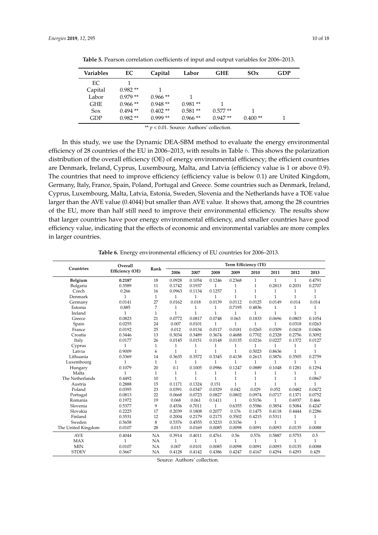| Variables  | EC        | Capital   | Labor     | <b>GHE</b> | SQx       | <b>GDP</b> |
|------------|-----------|-----------|-----------|------------|-----------|------------|
| EC         |           |           |           |            |           |            |
| Capital    | $0.982**$ |           |           |            |           |            |
| Labor      | $0.979**$ | $0.966**$ |           |            |           |            |
| <b>GHE</b> | $0.966**$ | $0.948**$ | $0.981**$ |            |           |            |
| Sox        | $0.494**$ | $0.402**$ | $0.581**$ | $0.577**$  |           |            |
| <b>GDP</b> | $0.982**$ | $0.999**$ | $0.966**$ | $0.947**$  | $0.400**$ |            |

<span id="page-9-0"></span>**Table 5.** Pearson correlation coefficients of input and output variables for 2006–2013.

\*\* *p* < 0.01. Source: Authors' collection.

In this study, we use the Dynamic DEA-SBM method to evaluate the energy environmental efficiency of 28 countries of the EU in 2006–2013, with results in Table [6.](#page-9-1) This shows the polarization distribution of the overall efficiency (OE) of energy environmental efficiency; the efficient countries are Denmark, Ireland, Cyprus, Luxembourg, Malta, and Latvia (efficiency value is 1 or above 0.9). The countries that need to improve efficiency (efficiency value is below 0.1) are United Kingdom, Germany, Italy, France, Spain, Poland, Portugal and Greece. Some countries such as Denmark, Ireland, Cyprus, Luxembourg, Malta, Latvia, Estonia, Sweden, Slovenia and the Netherlands have a TOE value larger than the AVE value (0.4044) but smaller than AVE value. It shows that, among the 28 countries of the EU, more than half still need to improve their environmental efficiency. The results show that larger countries have poor energy environmental efficiency, and smaller countries have good efficiency value, indicating that the effects of economic and environmental variables are more complex in larger countries.

<span id="page-9-1"></span>

|                    | Overall         |              |              |              |              | Term Efficiency (TE) |              |              |              |        |
|--------------------|-----------------|--------------|--------------|--------------|--------------|----------------------|--------------|--------------|--------------|--------|
| Countries          | Efficiency (OE) | Rank         | 2006         | 2007         | 2008         | 2009                 | 2010         | 2011         | 2012         | 2013   |
| Belgium            | 0.2187          | 18           | 0.0928       | 0.1054       | 0.1246       | 0.2368               | $\mathbf{1}$ | $\mathbf{1}$ | $\mathbf{1}$ | 0.4791 |
| Bulgaria           | 0.3589          | 11           | 0.1742       | 0.1937       | 1            | $\mathbf{1}$         | $\mathbf{1}$ | 0.2813       | 0.2031       | 0.2707 |
| Czech              | 0.266           | 16           | 0.0963       | 0.1134       | 0.1257       | $\mathbf{1}$         | $\mathbf{1}$ | $\mathbf{1}$ | 1            | 1      |
| Denmark            | 1               | $\mathbf{1}$ | 1            | 1            | 1            | 1                    | 1            | 1            | 1            | 1      |
| Germany            | 0.0141          | 27           | 0.0162       | 0.018        | 0.0139       | 0.0112               | 0.0125       | 0.0149       | 0.014        | 0.014  |
| Estonia            | 0.885           | 7            | 1            | $\mathbf{1}$ | $\mathbf{1}$ | 0.7195               | 0.4836       | $\mathbf{1}$ | $\mathbf{1}$ | 1      |
| Ireland            | 1               | $\mathbf{1}$ | 1            | 1            | 1            | 1                    | $\mathbf{1}$ | $\mathbf{1}$ | 1            | 1      |
| Greece             | 0.0823          | 21           | 0.0772       | 0.0817       | 0.0748       | 0.063                | 0.1833       | 0.0696       | 0.0803       | 0.1054 |
| Spain              | 0.0255          | 24           | 0.007        | 0.0101       | 1            | 1                    | 1            | $\mathbf{1}$ | 0.0318       | 0.0263 |
| France             | 0.0192          | 25           | 0.012        | 0.0134       | 0.0117       | 0.0181               | 0.0265       | 0.0309       | 0.0418       | 0.0406 |
| Croatia            | 0.3446          | 13           | 0.3034       | 0.3489       | 0.3674       | 0.4688               | 0.7702       | 0.2328       | 0.2756       | 0.3092 |
| Italy              | 0.0177          | 26           | 0.0145       | 0.0151       | 0.0148       | 0.0135               | 0.0216       | 0.0227       | 0.1372       | 0.0127 |
| Cyprus             | $\mathbf{1}$    | $\mathbf{1}$ | $\mathbf{1}$ | $\mathbf{1}$ | 1            | $\mathbf{1}$         | 1            | 1            | 1            | 1      |
| Latvia             | 0.9009          | 6            | 1            | $\mathbf{1}$ | 1            | $\mathbf{1}$         | 0.5023       | 0.8636       | $\mathbf{1}$ | 1      |
| Lithuania          | 0.3369          | 14           | 0.3635       | 0.3572       | 0.3345       | 0.4138               | 0.2613       | 0.3876       | 0.3505       | 0.2759 |
| Luxembourg         | 1               | $\mathbf{1}$ | $\mathbf{1}$ | 1            | 1            | 1                    | 1            | 1            | 1            | 1      |
| Hungary            | 0.1079          | 20           | 0.1          | 0.1005       | 0.0986       | 0.1247               | 0.0889       | 0.1048       | 0.1281       | 0.1294 |
| Malta              | 1               | $\mathbf{1}$ | 1            | $\mathbf{1}$ | 1            | 1                    | $\mathbf{1}$ | 1            | $\mathbf{1}$ | 1      |
| The Netherlands    | 0.4492          | 10           | 1            | 1            | 1            | $\mathbf{1}$         | 1            | $\mathbf{1}$ | 1            | 0.0867 |
| Austria            | 0.2888          | 15           | 0.1171       | 0.1324       | 0.151        | $\mathbf{1}$         | $\mathbf{1}$ | 1            | $\mathbf{1}$ | 1      |
| Poland             | 0.0395          | 23           | 0.0391       | 0.0347       | 0.0329       | 0.042                | 0.029        | 0.052        | 0.0482       | 0.0472 |
| Portugal           | 0.0813          | 22           | 0.0668       | 0.0723       | 0.0827       | 0.0802               | 0.0974       | 0.0717       | 0.1371       | 0.0752 |
| Romania            | 0.1972          | 19           | 0.068        | 0.061        | 0.1411       | 1                    | 0.5156       | $\mathbf{1}$ | 0.6937       | 0.466  |
| Slovenia           | 0.5377          | 9            | 0.4536       | 0.7011       | $\mathbf{1}$ | 0.6355               | 0.5586       | 0.3854       | 0.5084       | 0.4247 |
| Slovakia           | 0.2225          | 17           | 0.2039       | 0.1808       | 0.2077       | 0.176                | 0.1475       | 0.4118       | 0.4444       | 0.2286 |
| Finland            | 0.3531          | 12           | 0.2004       | 0.2179       | 0.2173       | 0.3502               | 0.4215       | 0.5311       | $\mathbf{1}$ | 1      |
| Sweden             | 0.5658          | 8            | 0.5376       | 0.4555       | 0.3233       | 0.3156               | $\mathbf{1}$ | $\mathbf{1}$ | 1            | 1      |
| The United Kingdom | 0.0107          | 28           | 0.015        | 0.0169       | 0.0085       | 0.0098               | 0.0091       | 0.0093       | 0.0135       | 0.0088 |
| <b>AVE</b>         | 0.4044          | NA           | 0.3914       | 0.4011       | 0.4761       | 0.56                 | 0.576        | 0.5887       | 0.5753       | 0.5    |
| <b>MAX</b>         | 1               | NA           | 1            | $\mathbf{1}$ | 1            | 1                    | $\mathbf{1}$ | $\mathbf{1}$ | $\mathbf{1}$ | 1      |
| <b>MIN</b>         | 0.0107          | NA           | 0.007        | 0.0101       | 0.0085       | 0.0098               | 0.0091       | 0.0093       | 0.0135       | 0.0088 |
| <b>STDEV</b>       | 0.3667          | NA           | 0.4128       | 0.4142       | 0.4386       | 0.4247               | 0.4167       | 0.4294       | 0.4293       | 0.429  |

**Table 6.** Energy environmental efficiency of EU countries for 2006–2013.

Source: Authors' collection.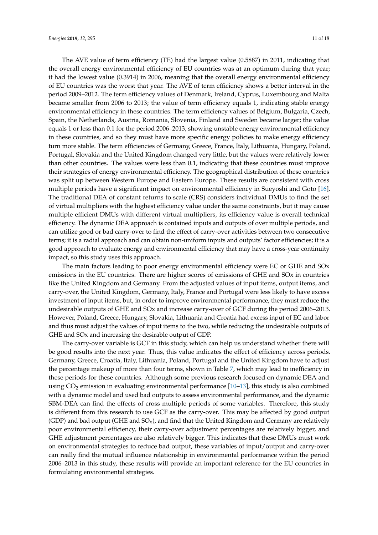The AVE value of term efficiency (TE) had the largest value (0.5887) in 2011, indicating that the overall energy environmental efficiency of EU countries was at an optimum during that year; it had the lowest value (0.3914) in 2006, meaning that the overall energy environmental efficiency of EU countries was the worst that year. The AVE of term efficiency shows a better interval in the period 2009–2012. The term efficiency values of Denmark, Ireland, Cyprus, Luxembourg and Malta became smaller from 2006 to 2013; the value of term efficiency equals 1, indicating stable energy environmental efficiency in these countries. The term efficiency values of Belgium, Bulgaria, Czech, Spain, the Netherlands, Austria, Romania, Slovenia, Finland and Sweden became larger; the value equals 1 or less than 0.1 for the period 2006–2013, showing unstable energy environmental efficiency in these countries, and so they must have more specific energy policies to make energy efficiency turn more stable. The term efficiencies of Germany, Greece, France, Italy, Lithuania, Hungary, Poland, Portugal, Slovakia and the United Kingdom changed very little, but the values were relatively lower than other countries. The values were less than 0.1, indicating that these countries must improve their strategies of energy environmental efficiency. The geographical distribution of these countries was split up between Western Europe and Eastern Europe. These results are consistent with cross multiple periods have a significant impact on environmental efficiency in Sueyoshi and Goto [\[16\]](#page-16-10). The traditional DEA of constant returns to scale (CRS) considers individual DMUs to find the set of virtual multipliers with the highest efficiency value under the same constraints, but it may cause multiple efficient DMUs with different virtual multipliers, its efficiency value is overall technical efficiency. The dynamic DEA approach is contained inputs and outputs of over multiple periods, and can utilize good or bad carry-over to find the effect of carry-over activities between two consecutive terms; it is a radial approach and can obtain non-uniform inputs and outputs' factor efficiencies; it is a good approach to evaluate energy and environmental efficiency that may have a cross-year continuity impact, so this study uses this approach.

The main factors leading to poor energy environmental efficiency were EC or GHE and SOx emissions in the EU countries. There are higher scores of emissions of GHE and SOx in countries like the United Kingdom and Germany. From the adjusted values of input items, output items, and carry-over, the United Kingdom, Germany, Italy, France and Portugal were less likely to have excess investment of input items, but, in order to improve environmental performance, they must reduce the undesirable outputs of GHE and SOx and increase carry-over of GCF during the period 2006–2013. However, Poland, Greece, Hungary, Slovakia, Lithuania and Croatia had excess input of EC and labor and thus must adjust the values of input items to the two, while reducing the undesirable outputs of GHE and SOx and increasing the desirable output of GDP.

The carry-over variable is GCF in this study, which can help us understand whether there will be good results into the next year. Thus, this value indicates the effect of efficiency across periods. Germany, Greece, Croatia, Italy, Lithuania, Poland, Portugal and the United Kingdom have to adjust the percentage makeup of more than four terms, shown in Table [7,](#page-11-0) which may lead to inefficiency in these periods for these countries. Although some previous research focused on dynamic DEA and using  $CO<sub>2</sub>$  emission in evaluating environmental performance [\[10–](#page-16-4)[13\]](#page-16-9), this study is also combined with a dynamic model and used bad outputs to assess environmental performance, and the dynamic SBM-DEA can find the effects of cross multiple periods of some variables. Therefore, this study is different from this research to use GCF as the carry-over. This may be affected by good output (GDP) and bad output (GHE and  $SO_x$ ), and find that the United Kingdom and Germany are relatively poor environmental efficiency, their carry-over adjustment percentages are relatively bigger, and GHE adjustment percentages are also relatively bigger. This indicates that these DMUs must work on environmental strategies to reduce bad output, these variables of input/output and carry-over can really find the mutual influence relationship in environmental performance within the period 2006–2013 in this study, these results will provide an important reference for the EU countries in formulating environmental strategies.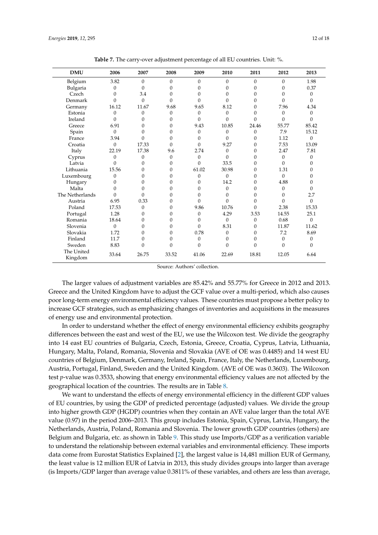<span id="page-11-0"></span>

| <b>DMU</b>            | 2006             | 2007             | 2008             | 2009           | 2010     | 2011             | 2012           | 2013     |
|-----------------------|------------------|------------------|------------------|----------------|----------|------------------|----------------|----------|
| Belgium               | 3.82             | $\mathbf{0}$     | $\mathbf{0}$     | $\overline{0}$ | $\theta$ | $\overline{0}$   | $\overline{0}$ | 1.98     |
| Bulgaria              | 0                | $\Omega$         | $\theta$         | $\Omega$       | 0        | 0                | 0              | 0.37     |
| Czech                 | 0                | 3.4              | $\theta$         | 0              | 0        | 0                | 0              | $\Omega$ |
| Denmark               | 0                | $\boldsymbol{0}$ | $\Omega$         | 0              | 0        | 0                | 0              | $\Omega$ |
| Germany               | 16.12            | 11.67            | 9.68             | 9.65           | 8.12     | 0                | 7.96           | 4.34     |
| Estonia               | $\boldsymbol{0}$ | $\boldsymbol{0}$ | $\mathbf{0}$     | 0              | $\theta$ | $\theta$         | 0              | $\Omega$ |
| Ireland               | 0                | 0                | $\Omega$         | 0              | U        | 0                | 0              | $\Omega$ |
| Greece                | 6.91             | 0                | $\mathbf{0}$     | 9.43           | 10.85    | 24.46            | 55.77          | 85.42    |
| Spain                 | $\Omega$         | 0                | $\theta$         | 0              | 0        | $\Omega$         | 7.9            | 15.12    |
| France                | 3.94             | 0                | $\theta$         | $\theta$       | 0        | 0                | 1.12           | $\Omega$ |
| Croatia               | $\mathbf{0}$     | 17.33            | $\theta$         | $\theta$       | 9.27     | 0                | 7.53           | 13.09    |
| Italy                 | 22.19            | 17.38            | 9.6              | 2.74           | 0        | $\Omega$         | 2.47           | 7.81     |
| Cyprus                | $\Omega$         | $\boldsymbol{0}$ | $\boldsymbol{0}$ | 0              | 0        | 0                | 0              | $\theta$ |
| Latvia                | 0                | 0                | $\theta$         | $\Omega$       | 33.5     | 0                | 0              | 0        |
| Lithuania             | 15.56            | 0                | $\mathbf{0}$     | 61.02          | 30.98    | 0                | 1.31           | $\Omega$ |
| Luxembourg            | 0                | 0                | 0                | 0              | 0        | 0                | 0              | 0        |
| Hungary               | 0                | 0                | $\Omega$         | 0              | 14.2     | 0                | 4.88           | 0        |
| Malta                 | U                | 0                | $\Omega$         | $\theta$       | $\theta$ | 0                | 0              | $\Omega$ |
| The Netherlands       | O                | $\Omega$         | $\Omega$         | 0              | 0        | 0                | 0              | 2.7      |
| Austria               | 6.95             | 0.33             | $\Omega$         | 0              | 0        | 0                | 0              | $\Omega$ |
| Poland                | 17.53            | $\mathbf{0}$     | 0                | 9.86           | 10.76    | 0                | 2.38           | 15.33    |
| Portugal              | 1.28             | 0                | $\Omega$         | 0              | 4.29     | 3.53             | 14.55          | 25.1     |
| Romania               | 18.64            | 0                | 0                | $\Omega$       | $\theta$ | $\boldsymbol{0}$ | 0.68           | $\theta$ |
| Slovenia              | $\Omega$         | 0                | $\mathbf{0}$     | $\Omega$       | 8.31     | $\Omega$         | 11.87          | 11.62    |
| Slovakia              | 1.72             | 0                | 0                | 0.78           | 0        | $\Omega$         | 7.2            | 8.69     |
| Finland               | 11.7             | 0                | 0                | 0              | 0        | 0                | 0              | 0        |
| Sweden                | 8.83             | $\Omega$         | $\Omega$         | $\Omega$       | $\Omega$ | $\Omega$         | $\Omega$       | 0        |
| The United<br>Kingdom | 33.64            | 26.75            | 33.52            | 41.06          | 22.69    | 18.81            | 12.05          | 6.64     |

**Table 7.** The carry-over adjustment percentage of all EU countries. Unit: %.

Source: Authors' collection.

The larger values of adjustment variables are 85.42% and 55.77% for Greece in 2012 and 2013. Greece and the United Kingdom have to adjust the GCF value over a multi-period, which also causes poor long-term energy environmental efficiency values. These countries must propose a better policy to increase GCF strategies, such as emphasizing changes of inventories and acquisitions in the measures of energy use and environmental protection.

In order to understand whether the effect of energy environmental efficiency exhibits geography differences between the east and west of the EU, we use the Wilcoxon test. We divide the geography into 14 east EU countries of Bulgaria, Czech, Estonia, Greece, Croatia, Cyprus, Latvia, Lithuania, Hungary, Malta, Poland, Romania, Slovenia and Slovakia (AVE of OE was 0.4485) and 14 west EU countries of Belgium, Denmark, Germany, Ireland, Spain, France, Italy, the Netherlands, Luxembourg, Austria, Portugal, Finland, Sweden and the United Kingdom. (AVE of OE was 0.3603). The Wilcoxon test *p*-value was 0.3533, showing that energy environmental efficiency values are not affected by the geographical location of the countries. The results are in Table [8.](#page-12-0)

We want to understand the effects of energy environmental efficiency in the different GDP values of EU countries, by using the GDP of predicted percentage (adjusted) values. We divide the group into higher growth GDP (HGDP) countries when they contain an AVE value larger than the total AVE value (0.97) in the period 2006–2013. This group includes Estonia, Spain, Cyprus, Latvia, Hungary, the Netherlands, Austria, Poland, Romania and Slovenia. The lower growth GDP countries (others) are Belgium and Bulgaria, etc. as shown in Table [9.](#page-12-1) This study use Imports/GDP as a verification variable to understand the relationship between external variables and environmental efficiency. These imports data come from Eurostat Statistics Explained [\[2\]](#page-15-1), the largest value is 14,481 million EUR of Germany, the least value is 12 million EUR of Latvia in 2013, this study divides groups into larger than average (is Imports/GDP larger than average value 0.3811% of these variables, and others are less than average,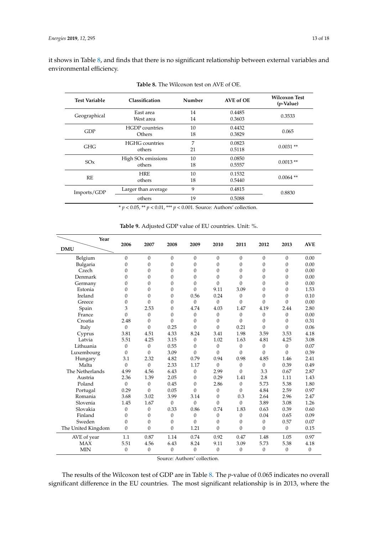<span id="page-12-0"></span>it shows in Table [8,](#page-12-0) and finds that there is no significant relationship between external variables and environmental efficiency.

| <b>Test Variable</b> | Classification                            | AVE of OE<br>Number |        | <b>Wilcoxon Test</b><br>$(p$ -Value) |  |
|----------------------|-------------------------------------------|---------------------|--------|--------------------------------------|--|
|                      | East area                                 | 14                  | 0.4485 |                                      |  |
| Geographical         | West area                                 | 14                  | 0.3603 | 0.3533                               |  |
|                      | <b>HGDP</b> countries                     | 10                  | 0.4432 |                                      |  |
| GDP                  | Others<br><b>HGHG</b> countries<br>others | 18                  | 0.3829 | 0.065                                |  |
|                      |                                           | 7                   | 0.0823 |                                      |  |
| <b>GHG</b>           |                                           | 21                  | 0.5118 | $0.0031$ **                          |  |
|                      | High SO <sub>x</sub> emissions            | 10                  | 0.0850 |                                      |  |
| SOx                  | others                                    | 18                  | 0.5557 | $0.0013$ **                          |  |
|                      | <b>HRE</b>                                | 10                  | 0.1532 |                                      |  |
| <b>RF</b>            | others                                    | 18                  | 0.5440 | $0.0064$ **                          |  |
| Imports/GDP          | Larger than average                       | 9                   | 0.4815 | 0.8830                               |  |
|                      | others                                    | 19                  | 0.5088 |                                      |  |

**Table 8.** The Wilcoxon test on AVE of OE.

\* *p* < 0.05, \*\* *p* < 0.01, \*\*\* *p* < 0.001. Source: Authors' collection.

<span id="page-12-1"></span>

| Year               |                  |                  |                  |                  |                  |                  |                  |                  |              |
|--------------------|------------------|------------------|------------------|------------------|------------------|------------------|------------------|------------------|--------------|
| <b>DMU</b>         | 2006             | 2007             | 2008             | 2009             | 2010             | 2011             | 2012             | 2013             | <b>AVE</b>   |
| Belgium            | $\boldsymbol{0}$ | $\boldsymbol{0}$ | $\boldsymbol{0}$ | $\boldsymbol{0}$ | $\boldsymbol{0}$ | 0                | $\mathbf{0}$     | $\boldsymbol{0}$ | 0.00         |
| Bulgaria           | $\boldsymbol{0}$ | $\boldsymbol{0}$ | $\boldsymbol{0}$ | 0                | $\boldsymbol{0}$ | 0                | $\mathbf{0}$     | $\theta$         | 0.00         |
| Czech              | 0                | $\theta$         | $\mathbf{0}$     | $\boldsymbol{0}$ | $\mathbf{0}$     | $\boldsymbol{0}$ | $\theta$         | $\theta$         | 0.00         |
| Denmark            | 0                | $\theta$         | $\Omega$         | $\boldsymbol{0}$ | $\theta$         | $\overline{0}$   | $\Omega$         | $\Omega$         | 0.00         |
| Germany            | 0                | $\theta$         | $\Omega$         | $\overline{0}$   | $\mathbf{0}$     | $\overline{0}$   | $\Omega$         | $\Omega$         | 0.00         |
| Estonia            | 0                | $\theta$         | $\mathbf{0}$     | $\theta$         | 9.11             | 3.09             | $\mathbf{0}$     | $\boldsymbol{0}$ | 1.53         |
| Ireland            | 0                | $\boldsymbol{0}$ | $\boldsymbol{0}$ | 0.56             | 0.24             | 0                | $\mathbf{0}$     | $\theta$         | 0.10         |
| Greece             | 0                | $\theta$         | $\mathbf{0}$     | $\mathbf{0}$     | $\mathbf{0}$     | $\boldsymbol{0}$ | $\mathbf{0}$     | $\boldsymbol{0}$ | 0.00         |
| Spain              | 3                | 2.53             | $\mathbf{0}$     | 4.74             | 4.03             | 1.47             | 4.19             | 2.44             | 2.80         |
| France             | $\Omega$         | $\theta$         | $\Omega$         | $\overline{0}$   | $\boldsymbol{0}$ | $\boldsymbol{0}$ | $\theta$         | $\boldsymbol{0}$ | 0.00         |
| Croatia            | 2.48             | $\theta$         | $\Omega$         | 0                | $\mathbf{0}$     | $\overline{0}$   | $\theta$         | $\Omega$         | 0.31         |
| Italy              | $\mathbf{0}$     | $\mathbf{0}$     | 0.25             | $\overline{0}$   | $\mathbf{0}$     | 0.21             | $\Omega$         | $\theta$         | 0.06         |
| Cyprus             | 3.81             | 4.51             | 4.33             | 8.24             | 3.41             | 1.98             | 3.59             | 3.53             | 4.18         |
| Latvia             | 5.51             | 4.25             | 3.15             | 0                | 1.02             | 1.63             | 4.81             | 4.25             | 3.08         |
| Lithuania          | $\boldsymbol{0}$ | $\boldsymbol{0}$ | 0.55             | 0                | $\mathbf{0}$     | $\boldsymbol{0}$ | $\mathbf{0}$     | 0                | 0.07         |
| Luxembourg         | $\boldsymbol{0}$ | $\theta$         | 3.09             | $\overline{0}$   | $\mathbf{0}$     | $\overline{0}$   | $\mathbf{0}$     | $\theta$         | 0.39         |
| Hungary            | 3.1              | 2.32             | 4.82             | 0.79             | 0.94             | 0.98             | 4.85             | 1.46             | 2.41         |
| Malta              | $\Omega$         | $\theta$         | 2.33             | 1.17             | $\mathbf{0}$     | 0                | $\mathbf{0}$     | 0.39             | 0.49         |
| The Netherlands    | 4.99             | 4.56             | 6.43             | 0                | 2.99             | $\boldsymbol{0}$ | 3.3              | 0.67             | 2.87         |
| Austria            | 2.36             | 1.39             | 2.05             | 0                | 0.29             | 1.41             | 2.8              | 1.11             | 1.43         |
| Poland             | $\mathbf{0}$     | $\theta$         | 0.45             | 0                | 2.86             | $\boldsymbol{0}$ | 5.73             | 5.38             | 1.80         |
| Portugal           | 0.29             | $\theta$         | 0.05             | $\boldsymbol{0}$ | $\boldsymbol{0}$ | $\boldsymbol{0}$ | 4.84             | 2.59             | 0.97         |
| Romania            | 3.68             | 3.02             | 3.99             | 3.14             | $\mathbf{0}$     | 0.3              | 2.64             | 2.96             | 2.47         |
| Slovenia           | 1.45             | 1.67             | $\Omega$         | $\theta$         | $\theta$         | $\theta$         | 3.89             | 3.08             | 1.26         |
| Slovakia           | $\boldsymbol{0}$ | $\boldsymbol{0}$ | 0.33             | 0.86             | 0.74             | 1.83             | 0.63             | 0.39             | 0.60         |
| Finland            | $\boldsymbol{0}$ | $\boldsymbol{0}$ | $\boldsymbol{0}$ | $\mathbf{0}$     | $\boldsymbol{0}$ | 0                | 0.04             | 0.65             | 0.09         |
| Sweden             | 0                | $\boldsymbol{0}$ | 0                | $\boldsymbol{0}$ | $\boldsymbol{0}$ | 0                | 0                | 0.57             | 0.07         |
| The United Kingdom | $\overline{0}$   | $\boldsymbol{0}$ | $\mathbf{0}$     | 1.21             | $\boldsymbol{0}$ | $\boldsymbol{0}$ | $\boldsymbol{0}$ | 0                | 0.15         |
| AVE of year        | 1.1              | 0.87             | 1.14             | 0.74             | 0.92             | 0.47             | 1.48             | 1.05             | 0.97         |
| <b>MAX</b>         | 5.51             | 4.56             | 6.43             | 8.24             | 9.11             | 3.09             | 5.73             | 5.38             | 4.18         |
| <b>MIN</b>         | 0                | $\theta$         | $\mathbf{0}$     | $\boldsymbol{0}$ | $\mathbf{0}$     | 0                | $\mathbf{0}$     | $\boldsymbol{0}$ | $\mathbf{0}$ |

**Table 9.** Adjusted GDP value of EU countries. Unit: %.

Source: Authors' collection.

The results of the Wilcoxon test of GDP are in Table [8.](#page-12-0) The *p*-value of 0.065 indicates no overall significant difference in the EU countries. The most significant relationship is in 2013, where the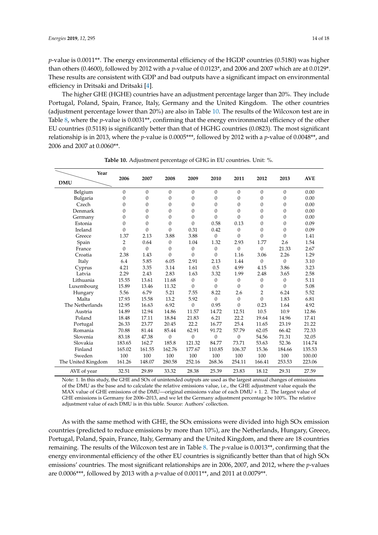*p*-value is 0.0011\*\*. The energy environmental efficiency of the HGDP countries (0.5180) was higher than others (0.4600), followed by 2012 with a *p*-value of 0.0123\*, and 2006 and 2007 which are at 0.0129\*. These results are consistent with GDP and bad outputs have a significant impact on environmental efficiency in Dritsaki and Dritsaki [\[4\]](#page-15-3).

The higher GHE (HGHE) countries have an adjustment percentage larger than 20%. They include Portugal, Poland, Spain, France, Italy, Germany and the United Kingdom. The other countries (adjustment percentage lower than 20%) are also in Table [10.](#page-13-0) The results of the Wilcoxon test are in Table [8,](#page-12-0) where the *p*-value is 0.0031\*\*, confirming that the energy environmental efficiency of the other EU countries (0.5118) is significantly better than that of HGHG countries (0.0823). The most significant relationship is in 2013, where the *p*-value is 0.0005\*\*\*, followed by 2012 with a *p*-value of 0.0048\*\*, and 2006 and 2007 at 0.0060\*\*.

<span id="page-13-0"></span>

| Year               |                  |          |                  |                  |                  |                  |                  |                |            |
|--------------------|------------------|----------|------------------|------------------|------------------|------------------|------------------|----------------|------------|
| <b>DMU</b>         | 2006             | 2007     | 2008             | 2009             | 2010             | 2011             | 2012             | 2013           | <b>AVE</b> |
| Belgium            | $\boldsymbol{0}$ | $\theta$ | $\boldsymbol{0}$ | $\boldsymbol{0}$ | $\boldsymbol{0}$ | $\boldsymbol{0}$ | $\theta$         | 0              | 0.00       |
| Bulgaria           | $\mathbf{0}$     | $\theta$ | 0                | $\mathbf{0}$     | 0                | $\theta$         | $\theta$         | 0              | 0.00       |
| Czech              | $\mathbf{0}$     | $\theta$ | 0                | $\mathbf{0}$     | $\boldsymbol{0}$ | $\theta$         | $\theta$         | 0              | 0.00       |
| Denmark            | $\boldsymbol{0}$ | $\theta$ | 0                | $\boldsymbol{0}$ | 0                | $\theta$         | $\boldsymbol{0}$ | 0              | 0.00       |
| Germany            | $\Omega$         | $\theta$ | $\boldsymbol{0}$ | $\Omega$         | $\theta$         | $\theta$         | $\mathbf{0}$     | 0              | 0.00       |
| Estonia            | $\Omega$         | $\Omega$ | $\overline{0}$   | $\Omega$         | 0.58             | 0.13             | $\mathbf{0}$     | 0              | 0.09       |
| Ireland            | $\theta$         | $\Omega$ | $\overline{0}$   | 0.31             | 0.42             | $\theta$         | $\theta$         | $\overline{0}$ | 0.09       |
| Greece             | 1.37             | 2.13     | 3.88             | 3.88             | 0                | $\theta$         | $\theta$         | 0              | 1.41       |
| Spain              | $\overline{2}$   | 0.64     | 0                | 1.04             | 1.32             | 2.93             | 1.77             | 2.6            | 1.54       |
| France             | $\Omega$         | $\Omega$ | 0                | $\boldsymbol{0}$ | $\theta$         | $\theta$         | $\theta$         | 21.33          | 2.67       |
| Croatia            | 2.38             | 1.43     | $\overline{0}$   | $\boldsymbol{0}$ | 0                | 1.16             | 3.06             | 2.26           | 1.29       |
| Italy              | 6.4              | 5.85     | 6.05             | 2.91             | 2.13             | 1.44             | $\theta$         | $\overline{0}$ | 3.10       |
| Cyprus             | 4.21             | 3.35     | 3.14             | 1.61             | 0.5              | 4.99             | 4.15             | 3.86           | 3.23       |
| Latvia             | 2.29             | 2.43     | 2.83             | 1.63             | 3.32             | 1.99             | 2.48             | 3.65           | 2.58       |
| Lithuania          | 15.55            | 13.61    | 11.68            | $\boldsymbol{0}$ | $\mathbf{0}$     | $\boldsymbol{0}$ | $\boldsymbol{0}$ | 0              | 5.11       |
| Luxembourg         | 15.89            | 13.46    | 11.32            | $\boldsymbol{0}$ | $\theta$         | $\Omega$         | $\boldsymbol{0}$ | 0              | 5.08       |
| Hungary            | 5.56             | 6.79     | 5.21             | 7.55             | 8.22             | 2.6              | $\overline{2}$   | 6.24           | 5.52       |
| Malta              | 17.93            | 15.58    | 13.2             | 5.92             | $\overline{0}$   | $\theta$         | $\theta$         | 1.83           | 6.81       |
| The Netherlands    | 12.95            | 16.63    | 6.92             | $\boldsymbol{0}$ | 0.95             | $\theta$         | 0.23             | 1.64           | 4.92       |
| Austria            | 14.89            | 12.94    | 14.86            | 11.57            | 14.72            | 12.51            | 10.5             | 10.9           | 12.86      |
| Poland             | 18.48            | 17.11    | 18.84            | 21.83            | 6.21             | 22.2             | 19.64            | 14.96          | 17.41      |
| Portugal           | 26.33            | 23.77    | 20.45            | 22.2             | 16.77            | 25.4             | 11.65            | 23.19          | 21.22      |
| Romania            | 70.88            | 81.44    | 85.44            | 62.91            | 91.72            | 57.79            | 62.05            | 66.42          | 72.33      |
| Slovenia           | 83.18            | 47.38    | $\overline{0}$   | $\boldsymbol{0}$ | $\boldsymbol{0}$ | $\theta$         | 54.56            | 71.31          | 32.05      |
| Slovakia           | 183.65           | 162.7    | 185.8            | 121.32           | 84.77            | 73.71            | 53.63            | 52.36          | 114.74     |
| Finland            | 165.02           | 161.55   | 162.76           | 177.67           | 110.85           | 106.37           | 15.36            | 184.66         | 135.53     |
| Sweden             | 100              | 100      | 100              | 100              | 100              | 100              | 100              | 100            | 100.00     |
| The United Kingdom | 161.26           | 148.07   | 280.58           | 252.16           | 268.36           | 254.11           | 166.41           | 253.53         | 223.06     |
| AVE of year        | 32.51            | 29.89    | 33.32            | 28.38            | 25.39            | 23.83            | 18.12            | 29.31          | 27.59      |

**Table 10.** Adjustment percentage of GHG in EU countries. Unit: %.

Note: 1. In this study, the GHE and SOx of unintended outputs are used as the largest annual changes of emissions of the DMU as the base and to calculate the relative emissions value, i.e., the GHE adjustment value equals the MAX value of GHE emissions of the DMU—original emissions value of each DMU + 1. 2. The largest value of GHE emissions is Germany for 2006–2013, and we let the Germany adjustment percentage be 100%. The relative adjustment value of each DMU is in this table. Source: Authors' collection.

As with the same method with GHE, the SOx emissions were divided into high SOx emission countries (predicted to reduce emissions by more than 10%), are the Netherlands, Hungary, Greece, Portugal, Poland, Spain, France, Italy, Germany and the United Kingdom, and there are 18 countries remaining. The results of the Wilcoxon test are in Table [8.](#page-12-0) The *p*-value is 0.0013\*\*, confirming that the energy environmental efficiency of the other EU countries is significantly better than that of high SOx emissions' countries. The most significant relationships are in 2006, 2007, and 2012, where the *p*-values are 0.0006\*\*\*, followed by 2013 with a *p*-value of 0.0011\*\*, and 2011 at 0.0079\*\*.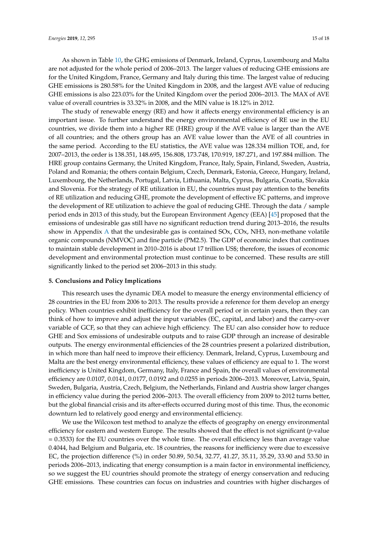As shown in Table [10,](#page-13-0) the GHG emissions of Denmark, Ireland, Cyprus, Luxembourg and Malta are not adjusted for the whole period of 2006–2013. The larger values of reducing GHE emissions are for the United Kingdom, France, Germany and Italy during this time. The largest value of reducing GHE emissions is 280.58% for the United Kingdom in 2008, and the largest AVE value of reducing GHE emissions is also 223.03% for the United Kingdom over the period 2006–2013. The MAX of AVE value of overall countries is 33.32% in 2008, and the MIN value is 18.12% in 2012.

The study of renewable energy (RE) and how it affects energy environmental efficiency is an important issue. To further understand the energy environmental efficiency of RE use in the EU countries, we divide them into a higher RE (HRE) group if the AVE value is larger than the AVE of all countries; and the others group has an AVE value lower than the AVE of all countries in the same period. According to the EU statistics, the AVE value was 128.334 million TOE, and, for 2007–2013, the order is 138.351, 148.695, 156.808, 173.748, 170.919, 187.271, and 197.884 million. The HRE group contains Germany, the United Kingdom, France, Italy, Spain, Finland, Sweden, Austria, Poland and Romania; the others contain Belgium, Czech, Denmark, Estonia, Greece, Hungary, Ireland, Luxembourg, the Netherlands, Portugal, Latvia, Lithuania, Malta, Cyprus, Bulgaria, Croatia, Slovakia and Slovenia. For the strategy of RE utilization in EU, the countries must pay attention to the benefits of RE utilization and reducing GHE, promote the development of effective EC patterns, and improve the development of RE utilization to achieve the goal of reducing GHE. Through the data / sample period ends in 2013 of this study, but the European Environment Agency (EEA) [\[45\]](#page-17-14) proposed that the emissions of undesirable gas still have no significant reduction trend during 2013–2016, the results show in Appendix [A](#page-15-4) that the undesirable gas is contained SOx, COx, NH3, non-methane volatile organic compounds (NMVOC) and fine particle (PM2.5). The GDP of economic index that continues to maintain stable development in 2010–2016 is about 17 trillion US\$; therefore, the issues of economic development and environmental protection must continue to be concerned. These results are still significantly linked to the period set 2006–2013 in this study.

#### <span id="page-14-0"></span>**5. Conclusions and Policy Implications**

This research uses the dynamic DEA model to measure the energy environmental efficiency of 28 countries in the EU from 2006 to 2013. The results provide a reference for them develop an energy policy. When countries exhibit inefficiency for the overall period or in certain years, then they can think of how to improve and adjust the input variables (EC, capital, and labor) and the carry-over variable of GCF, so that they can achieve high efficiency. The EU can also consider how to reduce GHE and Sox emissions of undesirable outputs and to raise GDP through an increase of desirable outputs. The energy environmental efficiencies of the 28 countries present a polarized distribution, in which more than half need to improve their efficiency. Denmark, Ireland, Cyprus, Luxembourg and Malta are the best energy environmental efficiency, these values of efficiency are equal to 1. The worst inefficiency is United Kingdom, Germany, Italy, France and Spain, the overall values of environmental efficiency are 0.0107, 0.0141, 0.0177, 0.0192 and 0.0255 in periods 2006–2013. Moreover, Latvia, Spain, Sweden, Bulgaria, Austria, Czech, Belgium, the Netherlands, Finland and Austria show larger changes in efficiency value during the period 2006–2013. The overall efficiency from 2009 to 2012 turns better, but the global financial crisis and its after-effects occurred during most of this time. Thus, the economic downturn led to relatively good energy and environmental efficiency.

We use the Wilcoxon test method to analyze the effects of geography on energy environmental efficiency for eastern and western Europe. The results showed that the effect is not significant (*p*-value = 0.3533) for the EU countries over the whole time. The overall efficiency less than average value 0.4044, had Belgium and Bulgaria, etc. 18 countries, the reasons for inefficiency were due to excessive EC, the projection difference (%) in order 50.89, 50.54, 32.77, 41.27, 35.11, 35.29, 33.90 and 53.50 in periods 2006–2013, indicating that energy consumption is a main factor in environmental inefficiency, so we suggest the EU countries should promote the strategy of energy conservation and reducing GHE emissions. These countries can focus on industries and countries with higher discharges of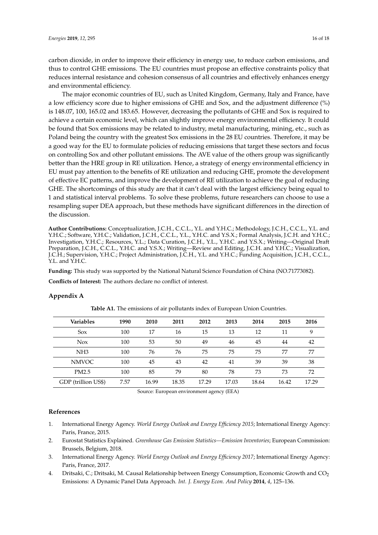carbon dioxide, in order to improve their efficiency in energy use, to reduce carbon emissions, and thus to control GHE emissions. The EU countries must propose an effective constraints policy that reduces internal resistance and cohesion consensus of all countries and effectively enhances energy and environmental efficiency.

The major economic countries of EU, such as United Kingdom, Germany, Italy and France, have a low efficiency score due to higher emissions of GHE and Sox, and the adjustment difference (%) is 148.07, 100, 165.02 and 183.65. However, decreasing the pollutants of GHE and Sox is required to achieve a certain economic level, which can slightly improve energy environmental efficiency. It could be found that Sox emissions may be related to industry, metal manufacturing, mining, etc., such as Poland being the country with the greatest Sox emissions in the 28 EU countries. Therefore, it may be a good way for the EU to formulate policies of reducing emissions that target these sectors and focus on controlling Sox and other pollutant emissions. The AVE value of the others group was significantly better than the HRE group in RE utilization. Hence, a strategy of energy environmental efficiency in EU must pay attention to the benefits of RE utilization and reducing GHE, promote the development of effective EC patterns, and improve the development of RE utilization to achieve the goal of reducing GHE. The shortcomings of this study are that it can't deal with the largest efficiency being equal to 1 and statistical interval problems. To solve these problems, future researchers can choose to use a resampling super DEA approach, but these methods have significant differences in the direction of the discussion.

**Author Contributions:** Conceptualization, J.C.H., C.C.L., Y.L. and Y.H.C.; Methodology, J.C.H., C.C.L., Y.L. and Y.H.C.; Software, Y.H.C.; Validation, J.C.H., C.C.L., Y.L., Y.H.C. and Y.S.X.; Formal Analysis, J.C.H. and Y.H.C.; Investigation, Y.H.C.; Resources, Y.L.; Data Curation, J.C.H., Y.L., Y.H.C. and Y.S.X.; Writing—Original Draft Preparation, J.C.H., C.C.L., Y.H.C. and Y.S.X.; Writing—Review and Editing, J.C.H. and Y.H.C.; Visualization, J.C.H.; Supervision, Y.H.C.; Project Administration, J.C.H., Y.L. and Y.H.C.; Funding Acquisition, J.C.H., C.C.L., Y.L. and Y.H.C.

**Funding:** This study was supported by the National Natural Science Foundation of China (NO.71773082).

**Conflicts of Interest:** The authors declare no conflict of interest.

#### <span id="page-15-4"></span>**Appendix A**

| Variables           | 1990 | 2010  | 2011  | 2012  | 2013  | 2014  | 2015  | 2016  |
|---------------------|------|-------|-------|-------|-------|-------|-------|-------|
| Sox                 | 100  | 17    | 16    | 15    | 13    | 12    | 11    | 9     |
| <b>Nox</b>          | 100  | 53    | 50    | 49    | 46    | 45    | 44    | 42    |
| NH <sub>3</sub>     | 100  | 76    | 76    | 75    | 75    | 75    | 77    | 77    |
| <b>NMVOC</b>        | 100  | 45    | 43    | 42    | 41    | 39    | 39    | 38    |
| PM2.5               | 100  | 85    | 79    | 80    | 78    | 73    | 73    | 72    |
| GDP (trillion US\$) | 7.57 | 16.99 | 18.35 | 17.29 | 17.03 | 18.64 | 16.42 | 17.29 |

**Table A1.** The emissions of air pollutants index of European Union Countries.

Source: European environment agency (EEA)

#### **References**

- <span id="page-15-0"></span>1. International Energy Agency. *World Energy Outlook and Energy Efficiency 2015*; International Energy Agency: Paris, France, 2015.
- <span id="page-15-1"></span>2. Eurostat Statistics Explained. *Greenhouse Gas Emission Statistics—Emission Inventories*; European Commission: Brussels, Belgium, 2018.
- <span id="page-15-2"></span>3. International Energy Agency. *World Energy Outlook and Energy Efficiency 2017*; International Energy Agency: Paris, France, 2017.
- <span id="page-15-3"></span>4. Dritsaki, C.; Dritsaki, M. Causal Relationship between Energy Consumption, Economic Growth and CO<sub>2</sub> Emissions: A Dynamic Panel Data Approach. *Int. J. Energy Econ. And Policy* **2014**, *4*, 125–136.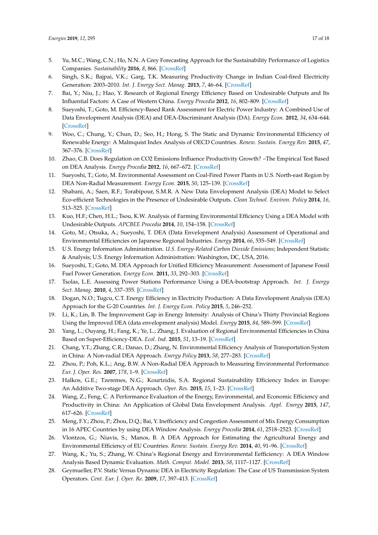- <span id="page-16-0"></span>5. Yu, M.C.; Wang, C.N.; Ho, N.N. A Grey Forecasting Approach for the Sustainability Performance of Logistics Companies. *Sustainability* **2016**, *8*, 866. [\[CrossRef\]](http://dx.doi.org/10.3390/su8090866)
- <span id="page-16-1"></span>6. Singh, S.K.; Bajpai, V.K.; Garg, T.K. Measuring Productivity Change in Indian Coal-fired Electricity Generation: 2003–2010. *Int. J. Energy Sect. Manag.* **2013**, *7*, 46–64. [\[CrossRef\]](http://dx.doi.org/10.1108/17506221311316470)
- 7. Bai, Y.; Niu, J.; Hao, Y. Research of Regional Energy Efficiency Based on Undesirable Outputs and Its Influential Factors: A Case of Western China. *Energy Procedia* **2012**, *16*, 802–809. [\[CrossRef\]](http://dx.doi.org/10.1016/j.egypro.2012.01.129)
- <span id="page-16-2"></span>8. Sueyoshi, T.; Goto, M. Efficiency-Based Rank Assessment for Electric Power Industry: A Combined Use of Data Envelopment Analysis (DEA) and DEA-Discriminant Analysis (DA). *Energy Econ.* **2012**, *34*, 634–644. [\[CrossRef\]](http://dx.doi.org/10.1016/j.eneco.2011.04.001)
- <span id="page-16-3"></span>9. Woo, C.; Chung, Y.; Chun, D.; Seo, H.; Hong, S. The Static and Dynamic Environmental Efficiency of Renewable Energy: A Malmquist Index Analysis of OECD Countries. *Renew. Sustain. Energy Rev.* **2015**, *47*, 367–376. [\[CrossRef\]](http://dx.doi.org/10.1016/j.rser.2015.03.070)
- <span id="page-16-4"></span>10. Zhao, C.B. Does Regulation on CO2 Emissions Influence Productivity Growth? –The Empirical Test Based on DEA Analysis. *Energy Procedia* **2012**, *16*, 667–672. [\[CrossRef\]](http://dx.doi.org/10.1016/j.egypro.2012.01.108)
- <span id="page-16-5"></span>11. Sueyoshi, T.; Goto, M. Environmental Assessment on Coal-Fired Power Plants in U.S. North-east Region by DEA Non-Radial Measurement. *Energy Econ.* **2015**, *50*, 125–139. [\[CrossRef\]](http://dx.doi.org/10.1016/j.eneco.2015.04.016)
- <span id="page-16-8"></span>12. Shabani, A.; Saen, R.F.; Torabipour, S.M.R. A New Data Envelopment Analysis (DEA) Model to Select Eco-efficient Technologies in the Presence of Undesirable Outputs. *Clean Technol. Environ. Policy* **2014**, *16*, 513–525. [\[CrossRef\]](http://dx.doi.org/10.1007/s10098-013-0652-0)
- <span id="page-16-9"></span>13. Kuo, H.F.; Chen, H.L.; Tsou, K.W. Analysis of Farming Environmental Efficiency Using a DEA Model with Undesirable Outputs. *APCBEE Procedia* **2014**, *10*, 154–158. [\[CrossRef\]](http://dx.doi.org/10.1016/j.apcbee.2014.10.034)
- <span id="page-16-6"></span>14. Goto, M.; Otsuka, A.; Sueyoshi, T. DEA (Data Envelopment Analysis) Assessment of Operational and Environmental Efficiencies on Japanese Regional Industries. *Energy* **2014**, *66*, 535–549. [\[CrossRef\]](http://dx.doi.org/10.1016/j.energy.2013.12.020)
- <span id="page-16-7"></span>15. U.S. Energy Information Administration. *U.S. Energy-Related Carbon Dioxide Emissions*; Independent Statistic & Analysis; U.S. Energy Information Administration: Washington, DC, USA, 2016.
- <span id="page-16-10"></span>16. Sueyoshi, T.; Goto, M. DEA Approach for Unified Efficiency Measurement: Assessment of Japanese Fossil Fuel Power Generation. *Energy Econ.* **2011**, *33*, 292–303. [\[CrossRef\]](http://dx.doi.org/10.1016/j.eneco.2010.07.008)
- <span id="page-16-11"></span>17. Tsolas, L.E. Assessing Power Stations Performance Using a DEA-bootstrap Approach. *Int. J. Energy Sect. Manag.* **2010**, *4*, 337–355. [\[CrossRef\]](http://dx.doi.org/10.1108/17506221011073833)
- <span id="page-16-12"></span>18. Dogan, N.O.; Tugcu, C.T. Energy Efficiency in Electricity Production: A Data Envelopment Analysis (DEA) Approach for the G-20 Countries. *Int. J. Energy Econ. Policy* **2015**, *5*, 246–252.
- <span id="page-16-13"></span>19. Li, K.; Lin, B. The Improvement Gap in Energy Intensity: Analysis of China's Thirty Provincial Regions Using the Improved DEA (data envelopment analysis) Model. *Energy* **2015**, *84*, 589–599. [\[CrossRef\]](http://dx.doi.org/10.1016/j.energy.2015.03.021)
- <span id="page-16-14"></span>20. Yang, L.; Ouyang, H.; Fang, K.; Ye, L.; Zhang, J. Evaluation of Regional Environmental Efficiencies in China Based on Super-Efficiency-DEA. *Ecol. Ind.* **2015**, *51*, 13–19. [\[CrossRef\]](http://dx.doi.org/10.1016/j.ecolind.2014.08.040)
- <span id="page-16-15"></span>21. Chang, Y.T.; Zhang, C.R.; Danao, D.; Zhang, N. Environmental Efficiency Analysis of Transportation System in China: A Non-radial DEA Approach. *Energy Policy* **2013**, *58*, 277–283. [\[CrossRef\]](http://dx.doi.org/10.1016/j.enpol.2013.03.011)
- <span id="page-16-16"></span>22. Zhou, P.; Poh, K.L.; Ang, B.W. A Non-Radial DEA Approach to Measuring Environmental Performance. *Eur. J. Oper. Res.* **2007**, *178*, 1–9. [\[CrossRef\]](http://dx.doi.org/10.1016/j.ejor.2006.04.038)
- <span id="page-16-17"></span>23. Halkos, G.E.; Tzeremes, N.G.; Kourtzidis, S.A. Regional Sustainability Efficiency Index in Europe: An Additive Two-stage DEA Approach. *Oper. Res.* **2015**, *15*, 1–23. [\[CrossRef\]](http://dx.doi.org/10.1007/s12351-015-0170-4)
- <span id="page-16-18"></span>24. Wang, Z.; Feng, C. A Performance Evaluation of the Energy, Environmental, and Economic Efficiency and Productivity in China: An Application of Global Data Envelopment Analysis. *Appl. Energy* **2015**, *147*, 617–626. [\[CrossRef\]](http://dx.doi.org/10.1016/j.apenergy.2015.01.108)
- <span id="page-16-19"></span>25. Meng, F.Y.; Zhou, P.; Zhou, D.Q.; Bai, Y. Inefficiency and Congestion Assessment of Mix Energy Consumption in 16 APEC Countries by using DEA Window Analysis. *Energy Procedia* **2014**, *61*, 2518–2523. [\[CrossRef\]](http://dx.doi.org/10.1016/j.egypro.2014.12.036)
- <span id="page-16-20"></span>26. Vlontzos, G.; Niavis, S.; Manos, B. A DEA Approach for Estimating the Agricultural Energy and Environmental Efficiency of EU Countries. *Renew. Sustain. Energy Rev.* **2014**, *40*, 91–96. [\[CrossRef\]](http://dx.doi.org/10.1016/j.rser.2014.07.153)
- <span id="page-16-21"></span>27. Wang, K.; Yu, S.; Zhang, W. China's Regional Energy and Environmental Eefficiency: A DEA Window Analysis Based Dynamic Evaluation. *Math. Comput. Model.* **2013**, *58*, 1117–1127. [\[CrossRef\]](http://dx.doi.org/10.1016/j.mcm.2011.11.067)
- <span id="page-16-22"></span>28. Geymueller, P.V. Static Versus Dynamic DEA in Electricity Regulation: The Case of US Transmission System Operators. *Cent. Eur. J. Oper. Re.* **2009**, *17*, 397–413. [\[CrossRef\]](http://dx.doi.org/10.1007/s10100-009-0099-x)